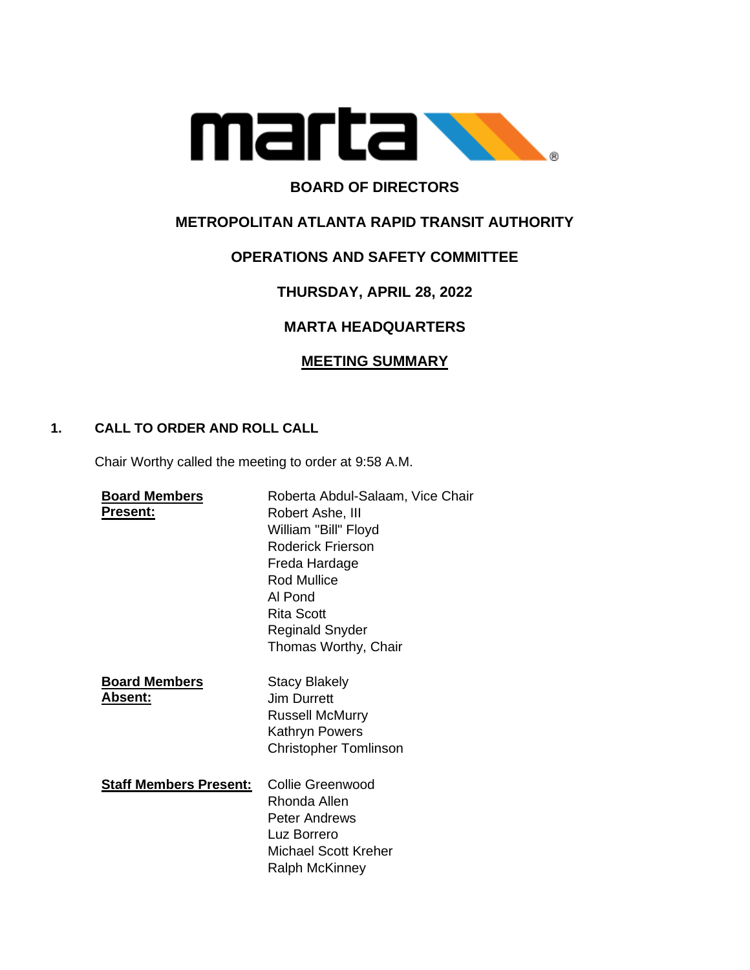

# **BOARD OF DIRECTORS**

# **METROPOLITAN ATLANTA RAPID TRANSIT AUTHORITY**

# **OPERATIONS AND SAFETY COMMITTEE**

# **THURSDAY, APRIL 28, 2022**

# **MARTA HEADQUARTERS**

# **MEETING SUMMARY**

## **1. CALL TO ORDER AND ROLL CALL**

Chair Worthy called the meeting to order at 9:58 A.M.

| <b>Board Members</b><br>Present: | Roberta Abdul-Salaam, Vice Chair<br>Robert Ashe, III<br>William "Bill" Floyd<br>Roderick Frierson<br>Freda Hardage<br><b>Rod Mullice</b><br>Al Pond<br>Rita Scott<br><b>Reginald Snyder</b><br>Thomas Worthy, Chair |
|----------------------------------|---------------------------------------------------------------------------------------------------------------------------------------------------------------------------------------------------------------------|
| <b>Board Members</b><br>Absent:  | <b>Stacy Blakely</b><br>Jim Durrett<br><b>Russell McMurry</b><br>Kathryn Powers<br><b>Christopher Tomlinson</b>                                                                                                     |
| <b>Staff Members Present:</b>    | Collie Greenwood<br>Rhonda Allen<br>Peter Andrews<br>Luz Borrero<br><b>Michael Scott Kreher</b><br><b>Ralph McKinney</b>                                                                                            |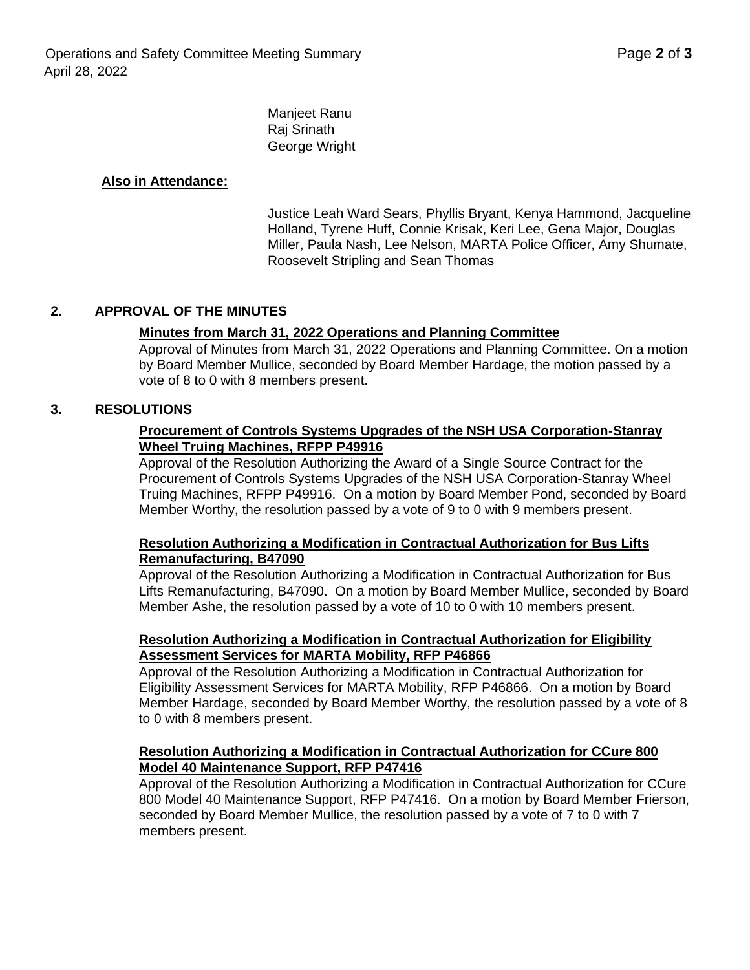Manjeet Ranu Raj Srinath George Wright

### **Also in Attendance:**

Justice Leah Ward Sears, Phyllis Bryant, Kenya Hammond, Jacqueline Holland, Tyrene Huff, Connie Krisak, Keri Lee, Gena Major, Douglas Miller, Paula Nash, Lee Nelson, MARTA Police Officer, Amy Shumate, Roosevelt Stripling and Sean Thomas

#### **2. APPROVAL OF THE MINUTES**

#### **Minutes from March 31, 2022 Operations and Planning Committee**

Approval of Minutes from March 31, 2022 Operations and Planning Committee. On a motion by Board Member Mullice, seconded by Board Member Hardage, the motion passed by a vote of 8 to 0 with 8 members present.

#### **3. RESOLUTIONS**

#### **Procurement of Controls Systems Upgrades of the NSH USA Corporation-Stanray Wheel Truing Machines, RFPP P49916**

Approval of the Resolution Authorizing the Award of a Single Source Contract for the Procurement of Controls Systems Upgrades of the NSH USA Corporation-Stanray Wheel Truing Machines, RFPP P49916. On a motion by Board Member Pond, seconded by Board Member Worthy, the resolution passed by a vote of 9 to 0 with 9 members present.

#### **Resolution Authorizing a Modification in Contractual Authorization for Bus Lifts Remanufacturing, B47090**

Approval of the Resolution Authorizing a Modification in Contractual Authorization for Bus Lifts Remanufacturing, B47090. On a motion by Board Member Mullice, seconded by Board Member Ashe, the resolution passed by a vote of 10 to 0 with 10 members present.

#### **Resolution Authorizing a Modification in Contractual Authorization for Eligibility Assessment Services for MARTA Mobility, RFP P46866**

Approval of the Resolution Authorizing a Modification in Contractual Authorization for Eligibility Assessment Services for MARTA Mobility, RFP P46866. On a motion by Board Member Hardage, seconded by Board Member Worthy, the resolution passed by a vote of 8 to 0 with 8 members present.

#### **Resolution Authorizing a Modification in Contractual Authorization for CCure 800 Model 40 Maintenance Support, RFP P47416**

Approval of the Resolution Authorizing a Modification in Contractual Authorization for CCure 800 Model 40 Maintenance Support, RFP P47416. On a motion by Board Member Frierson, seconded by Board Member Mullice, the resolution passed by a vote of 7 to 0 with 7 members present.